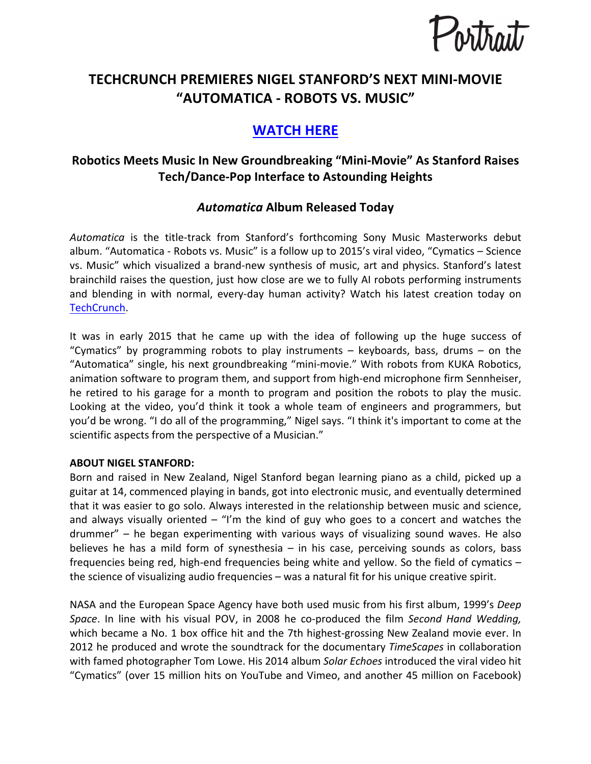

# **TECHCRUNCH PREMIERES NIGEL STANFORD'S NEXT MINI-MOVIE "AUTOMATICA - ROBOTS VS. MUSIC"**

# **WATCH HERE**

## **Robotics Meets Music In New Groundbreaking "Mini-Movie" As Stanford Raises Tech/Dance-Pop Interface to Astounding Heights**

### *Automatica* **Album Released Today**

Automatica is the title-track from Stanford's forthcoming Sony Music Masterworks debut album. "Automatica - Robots vs. Music" is a follow up to 2015's viral video, "Cymatics – Science vs. Music" which visualized a brand-new synthesis of music, art and physics. Stanford's latest brainchild raises the question, just how close are we to fully AI robots performing instruments and blending in with normal, every-day human activity? Watch his latest creation today on TechCrunch.

It was in early 2015 that he came up with the idea of following up the huge success of "Cymatics" by programming robots to play instruments  $-$  keyboards, bass, drums  $-$  on the "Automatica" single, his next groundbreaking "mini-movie." With robots from KUKA Robotics, animation software to program them, and support from high-end microphone firm Sennheiser, he retired to his garage for a month to program and position the robots to play the music. Looking at the video, you'd think it took a whole team of engineers and programmers, but you'd be wrong. "I do all of the programming," Nigel says. "I think it's important to come at the scientific aspects from the perspective of a Musician."

#### **ABOUT NIGEL STANFORD:**

Born and raised in New Zealand, Nigel Stanford began learning piano as a child, picked up a guitar at 14, commenced playing in bands, got into electronic music, and eventually determined that it was easier to go solo. Always interested in the relationship between music and science, and always visually oriented  $-$  "I'm the kind of guy who goes to a concert and watches the drummer" – he began experimenting with various ways of visualizing sound waves. He also believes he has a mild form of synesthesia – in his case, perceiving sounds as colors, bass frequencies being red, high-end frequencies being white and yellow. So the field of cymatics  $$ the science of visualizing audio frequencies  $-$  was a natural fit for his unique creative spirit.

NASA and the European Space Agency have both used music from his first album, 1999's *Deep Space*. In line with his visual POV, in 2008 he co-produced the film *Second Hand Wedding,* which became a No. 1 box office hit and the 7th highest-grossing New Zealand movie ever. In 2012 he produced and wrote the soundtrack for the documentary *TimeScapes* in collaboration with famed photographer Tom Lowe. His 2014 album *Solar Echoes* introduced the viral video hit "Cymatics" (over 15 million hits on YouTube and Vimeo, and another 45 million on Facebook)